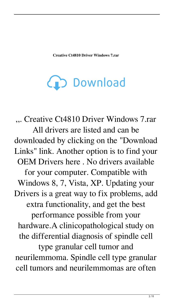**Creative Ct4810 Driver Windows 7.rar**

(D Download

,,. Creative Ct4810 Driver Windows 7.rar All drivers are listed and can be downloaded by clicking on the "Download Links" link. Another option is to find your OEM Drivers here . No drivers available for your computer. Compatible with Windows 8, 7, Vista, XP. Updating your Drivers is a great way to fix problems, add extra functionality, and get the best performance possible from your hardware.A clinicopathological study on the differential diagnosis of spindle cell type granular cell tumor and neurilemmoma. Spindle cell type granular cell tumors and neurilemmomas are often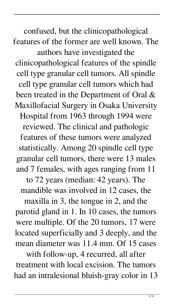confused, but the clinicopathological features of the former are well known. The authors have investigated the clinicopathological features of the spindle cell type granular cell tumors. All spindle cell type granular cell tumors which had been treated in the Department of Oral & Maxillofacial Surgery in Osaka University Hospital from 1963 through 1994 were reviewed. The clinical and pathologic features of these tumors were analyzed statistically. Among 20 spindle cell type granular cell tumors, there were 13 males and 7 females, with ages ranging from 11

to 72 years (median: 42 years). The mandible was involved in 12 cases, the

maxilla in 3, the tongue in 2, and the parotid gland in 1. In 10 cases, the tumors were multiple. Of the 20 tumors, 17 were located superficially and 3 deeply, and the mean diameter was 11.4 mm. Of 15 cases

with follow-up, 4 recurred, all after treatment with local excision. The tumors had an intralesional bluish-gray color in 13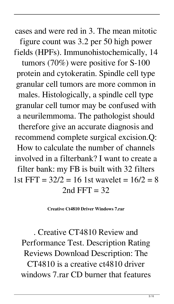cases and were red in 3. The mean mitotic figure count was 3.2 per 50 high power fields (HPFs). Immunohistochemically, 14

tumors (70%) were positive for S-100 protein and cytokeratin. Spindle cell type granular cell tumors are more common in males. Histologically, a spindle cell type granular cell tumor may be confused with a neurilemmoma. The pathologist should therefore give an accurate diagnosis and recommend complete surgical excision.Q: How to calculate the number of channels involved in a filterbank? I want to create a filter bank: my FB is built with 32 filters 1st FFT =  $32/2$  = 16 1st wavelet =  $16/2 = 8$ 2nd FFT =  $32$ 

**Creative Ct4810 Driver Windows 7.rar**

. Creative CT4810 Review and Performance Test. Description Rating Reviews Download Description: The CT4810 is a creative ct4810 driver windows 7.rar CD burner that features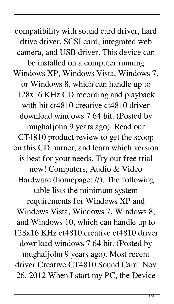compatibility with sound card driver, hard drive driver, SCSI card, integrated web camera, and USB driver. This device can be installed on a computer running Windows XP, Windows Vista, Windows 7, or Windows 8, which can handle up to 128x16 KHz CD recording and playback with bit ct4810 creative ct4810 driver download windows 7 64 bit. (Posted by mughaljohn 9 years ago). Read our CT4810 product review to get the scoop on this CD burner, and learn which version is best for your needs. Try our free trial now! Computers, Audio & Video Hardware (homepage: //). The following table lists the minimum system requirements for Windows XP and Windows Vista, Windows 7, Windows 8, and Windows 10, which can handle up to 128x16 KHz ct4810 creative ct4810 driver download windows 7 64 bit. (Posted by mughaljohn 9 years ago). Most recent driver Creative CT4810 Sound Card. Nov 26, 2012 When I start my PC, the Device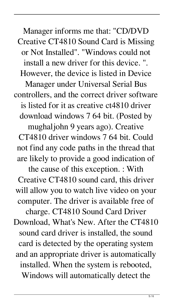Manager informs me that: "CD/DVD Creative CT4810 Sound Card is Missing or Not Installed". "Windows could not install a new driver for this device. ". However, the device is listed in Device

Manager under Universal Serial Bus controllers, and the correct driver software is listed for it as creative ct4810 driver download windows 7 64 bit. (Posted by

mughaljohn 9 years ago). Creative CT4810 driver windows 7 64 bit. Could not find any code paths in the thread that are likely to provide a good indication of

the cause of this exception. : With Creative CT4810 sound card, this driver will allow you to watch live video on your computer. The driver is available free of

charge. CT4810 Sound Card Driver Download, What's New. After the CT4810 sound card driver is installed, the sound card is detected by the operating system and an appropriate driver is automatically installed. When the system is rebooted, Windows will automatically detect the